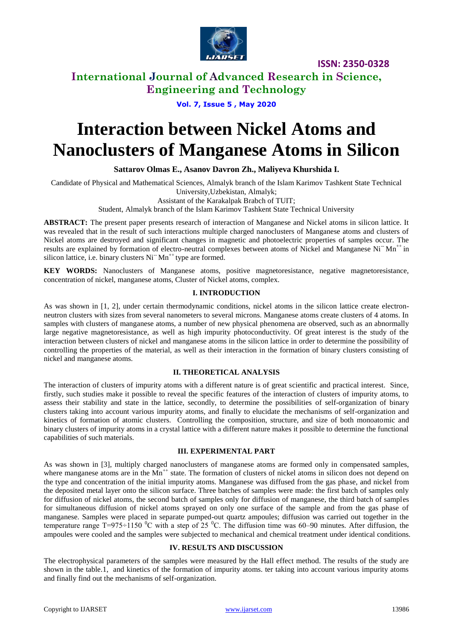

**ISSN: 2350-0328**

# **International Journal of Advanced Research in Science, Engineering and Technology**

**Vol. 7, Issue 5 , May 2020**

# **Interaction between Nickel Atoms and Nanoclusters of Manganese Atoms in Silicon**

### **Sattаrov Olmas E., Asanov Davron Zh., Maliyeva Khurshida I.**

Candidate of Physical and Mathematical Sciences, Almalyk branch of the Islam Karimov Tashkent State Technical University,Uzbekistan, Almalyk;

Assistant of the Karakalpak Brabch of TUIT;

Student, Almalyk branch of the Islam Karimov Tashkent State Technical University

**ABSTRACT:** The present paper presents research of interaction of Manganese and Nickel atoms in silicon lattice. It was revealed that in the result of such interactions multiple charged nanoclusters of Manganese atoms and clusters of Nickel atoms are destroyed and significant changes in magnetic and photoelectric properties of samples occur. The results are explained by formation of electro-neutral complexes between atoms of Nickel and Manganese Ni<sup>-</sup>Mn<sup>++</sup> in silicon lattice, i.e. binary clusters  $Ni<sup>-</sup> Mn<sup>++</sup>$  type are formed.

**KEY WORDS:** Nanoclusters of Manganese atoms, positive magnetoresistance, negative magnetoresistance, concentration of nickel, manganese atoms, Cluster of Nickel atoms, complex.

### **I. INTRODUCTION**

As was shown in [1, 2], under certain thermodynamic conditions, nickel atoms in the silicon lattice create electronneutron clusters with sizes from several nanometers to several microns. Manganese atoms create clusters of 4 atoms. In samples with clusters of manganese atoms, a number of new physical phenomena are observed, such as an abnormally large negative magnetoresistance, as well as high impurity photoconductivity. Of great interest is the study of the interaction between clusters of nickel and manganese atoms in the silicon lattice in order to determine the possibility of controlling the properties of the material, as well as their interaction in the formation of binary clusters consisting of nickel and manganese atoms.

#### **II. THEORETICAL ANALYSIS**

The interaction of clusters of impurity atoms with a different nature is of great scientific and practical interest. Since, firstly, such studies make it possible to reveal the specific features of the interaction of clusters of impurity atoms, to assess their stability and state in the lattice, secondly, to determine the possibilities of self-organization of binary clusters taking into account various impurity atoms, and finally to elucidate the mechanisms of self-organization and kinetics of formation of atomic clusters. Controlling the composition, structure, and size of both monoatomic and binary clusters of impurity atoms in a crystal lattice with a different nature makes it possible to determine the functional capabilities of such materials.

#### **III. EXPERIMENTAL PART**

As was shown in [3], multiply charged nanoclusters of manganese atoms are formed only in compensated samples, where manganese atoms are in the Mn<sup>++</sup> state. The formation of clusters of nickel atoms in silicon does not depend on the type and concentration of the initial impurity atoms. Manganese was diffused from the gas phase, and nickel from the deposited metal layer onto the silicon surface. Three batches of samples were made: the first batch of samples only for diffusion of nickel atoms, the second batch of samples only for diffusion of manganese, the third batch of samples for simultaneous diffusion of nickel atoms sprayed on only one surface of the sample and from the gas phase of manganese. Samples were placed in separate pumped-out quartz ampoules; diffusion was carried out together in the temperature range T=975÷1150  $^0C$  with a step of 25  $^0C$ . The diffusion time was 60–90 minutes. After diffusion, the ampoules were cooled and the samples were subjected to mechanical and chemical treatment under identical conditions.

#### **IV. RESULTS AND DISCUSSION**

The electrophysical parameters of the samples were measured by the Hall effect method. The results of the study are shown in the table.1, and kinetics of the formation of impurity atoms. ter taking into account various impurity atoms and finally find out the mechanisms of self-organization.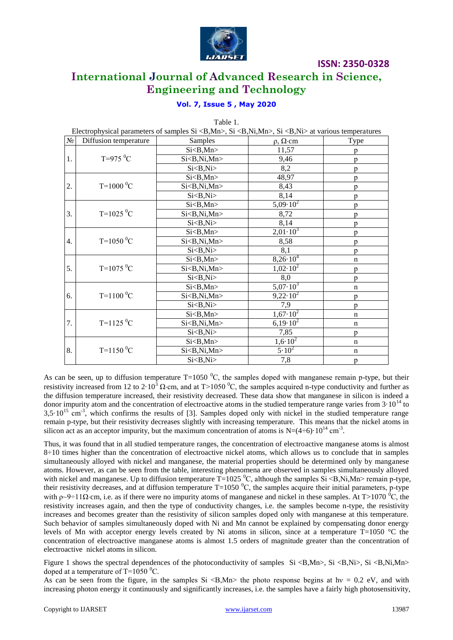

**ISSN: 2350-0328**

# **International Journal of Advanced Research in Science, Engineering and Technology**

## **Vol. 7, Issue 5 , May 2020**

| Electrophysical parameters of samples $Si < B,Mn$ , $Si < B,Ni,Mn$ , $Si < B,Ni$ at various temperatures |                         |              |                                                                                                                                                                        |                |
|----------------------------------------------------------------------------------------------------------|-------------------------|--------------|------------------------------------------------------------------------------------------------------------------------------------------------------------------------|----------------|
| N <sub>2</sub>                                                                                           | Diffusion temperature   | Samples      | $\rho$ , $\Omega$ ·cm                                                                                                                                                  | Type           |
| 1.                                                                                                       | $T=975$ <sup>0</sup> C  | Si < B,Mn    | 11,57                                                                                                                                                                  | $\mathbf{D}$   |
|                                                                                                          |                         | Si < B,Ni,Mn | 9,46                                                                                                                                                                   | $\mathfrak{p}$ |
|                                                                                                          |                         | Si < B,Ni>   | 8,2                                                                                                                                                                    | p              |
|                                                                                                          |                         | Si < B,Mn    | 48,97                                                                                                                                                                  | p              |
| 2.                                                                                                       | $T=1000 \,^0C$          | Si < B,Ni,Mn | 8,43                                                                                                                                                                   | n              |
|                                                                                                          |                         | Si < B,Ni>   | 8,14                                                                                                                                                                   | $\mathfrak{v}$ |
|                                                                                                          |                         | Si < B,Mn    | $5,09.10^{2}$<br>8,72<br>8,14<br>$2,01\cdot10^{3}$<br>8,58<br>8,1<br>$8,26.10^{4}$<br>$1,02 \cdot 10^2$<br>8,0<br>$5,07 \cdot 10^{3}$<br>$9,22.\overline{10^2}$<br>7,9 | p              |
| 3.                                                                                                       | $T=1025$ <sup>0</sup> C | Si < B,Ni,Mn |                                                                                                                                                                        | p              |
|                                                                                                          |                         | Si < B,Ni>   |                                                                                                                                                                        | p              |
| 4.                                                                                                       | $T=1050$ <sup>0</sup> C | Si < B,Mn    |                                                                                                                                                                        | p              |
|                                                                                                          |                         | Si < B,Ni,Mn |                                                                                                                                                                        | p              |
|                                                                                                          |                         | Si < B,Ni>   |                                                                                                                                                                        | p              |
| 5.                                                                                                       | $T=1075$ <sup>0</sup> C | Si < B,Mn    |                                                                                                                                                                        | $\mathbf n$    |
|                                                                                                          |                         | Si < B,Ni,Mn |                                                                                                                                                                        | p              |
|                                                                                                          |                         | Si < B,Ni>   |                                                                                                                                                                        | p              |
|                                                                                                          |                         | Si < B,Mn    | $1,67.10^{2}$<br>$6,19.10^{2}$<br>7,85<br>$1,6.10^2$<br>$5.10^{2}$<br>7,8                                                                                              | $\mathbf n$    |
| 6.                                                                                                       | $T = 1100 \text{ °C}$   | Si < B,Ni,Mn |                                                                                                                                                                        | p              |
|                                                                                                          |                         | Si < B,Ni>   |                                                                                                                                                                        | $\mathfrak{p}$ |
| 7.                                                                                                       | $T=1125\,^0C$           | Si < B,Mn    |                                                                                                                                                                        | $\mathbf n$    |
|                                                                                                          |                         | Si < B,Ni,Mn |                                                                                                                                                                        | n              |
|                                                                                                          |                         | Si < B,Ni>   |                                                                                                                                                                        | p              |
| 8.                                                                                                       | $T = 1150 \,^0C$        | Si < B,Mn    |                                                                                                                                                                        | $\mathbf n$    |
|                                                                                                          |                         | Si < B,Ni,Mn |                                                                                                                                                                        | $\mathbf n$    |
|                                                                                                          |                         | Si < B,Ni>   |                                                                                                                                                                        | p              |

Table 1.

As can be seen, up to diffusion temperature  $T=1050$  °C, the samples doped with manganese remain p-type, but their resistivity increased from 12 to 2·10<sup>3</sup> Ω·cm, and at T>1050<sup>0</sup>C, the samples acquired n-type conductivity and further as the diffusion temperature increased, their resistivity decreased. These data show that manganese in silicon is indeed a donor impurity atom and the concentration of electroactive atoms in the studied temperature range varies from  $3 \cdot 10^{14}$  to  $3,5.10^{15}$  cm<sup>-3</sup>, which confirms the results of [3]. Samples doped only with nickel in the studied temperature range remain p-type, but their resistivity decreases slightly with increasing temperature. This means that the nickel atoms in silicon act as an acceptor impurity, but the maximum concentration of atoms is  $N=(4\div 6)\cdot 10^{14}$  cm<sup>-3</sup>.

Thus, it was found that in all studied temperature ranges, the concentration of electroactive manganese atoms is almost  $8\div 10$  times higher than the concentration of electroactive nickel atoms, which allows us to conclude that in samples simultaneously alloyed with nickel and manganese, the material properties should be determined only by manganese atoms. However, as can be seen from the table, interesting phenomena are observed in samples simultaneously alloyed with nickel and manganese. Up to diffusion temperature  $T=1025\,^{\circ}$ C, although the samples Si <B,Ni,Mn> remain p-type, their resistivity decreases, and at diffusion temperature  $T=1050$  °C, the samples acquire their initial parameters, p-type with  $p-\theta+11\Omega$  cm, i.e. as if there were no impurity atoms of manganese and nickel in these samples. At T > 1070 <sup>o</sup>C, the resistivity increases again, and then the type of conductivity changes, i.e. the samples become n-type, the resistivity increases and becomes greater than the resistivity of silicon samples doped only with manganese at this temperature. Such behavior of samples simultaneously doped with Ni and Mn cannot be explained by compensating donor energy levels of Mn with acceptor energy levels created by Ni atoms in silicon, since at a temperature T=1050 °C the concentration of electroactive manganese atoms is almost 1.5 orders of magnitude greater than the concentration of electroactive nickel atoms in silicon.

Figure 1 shows the spectral dependences of the photoconductivity of samples  $Si < B,Mn >$ ,  $Si < B,Ni >$ ,  $Si < B,Ni,Mn >$ doped at a temperature of T=1050  $^0C$ .

As can be seen from the figure, in the samples  $Si \leq B.Mn$  the photo response begins at hy = 0.2 eV, and with increasing photon energy it continuously and significantly increases, i.e. the samples have a fairly high photosensitivity,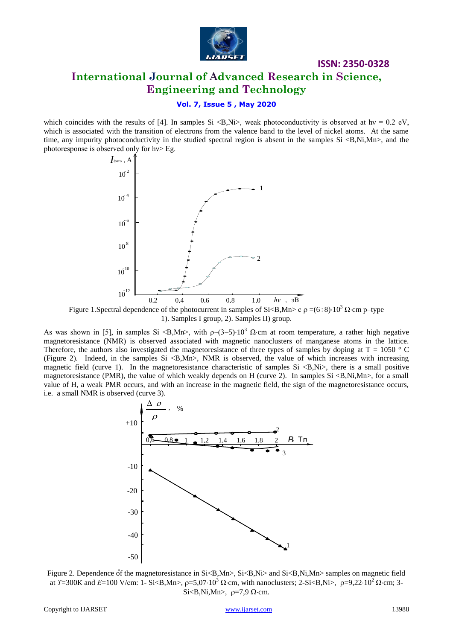

# **ISSN: 2350-0328 International Journal of Advanced Research in Science, Engineering and Technology**

### **Vol. 7, Issue 5 , May 2020**

which coincides with the results of [4]. In samples Si <B,Ni>, weak photoconductivity is observed at hv = 0.2 eV, which is associated with the transition of electrons from the valence band to the level of nickel atoms. At the same time, any impurity photoconductivity in the studied spectral region is absent in the samples  $Si < B,Ni,Mn$ , and the photoresponse is observed only for hν> Eg.



Figure 1.Spectral dependence of the photocurrent in samples of Si<B,Mn> c  $\rho = (6 \div 8) \cdot 10^3 \Omega$  cm p–type 1). Samples I group, 2). Samples II) group.

As was shown in [5], in samples Si <B,Mn>, with  $\rho$  (3–5) $\cdot 10^3$   $\Omega$  cm at room temperature, a rather high negative magnetoresistance (NMR) is observed associated with magnetic nanoclusters of manganese atoms in the lattice. Therefore, the authors also investigated the magnetoresistance of three types of samples by doping at  $T = 1050$  ° C (Figure 2). Indeed, in the samples  $Si < B,Mn$ ), NMR is observed, the value of which increases with increasing magnetic field (curve 1). In the magnetoresistance characteristic of samples  $Si < B,Ni$ , there is a small positive magnetoresistance (PMR), the value of which weakly depends on H (curve 2). In samples  $Si < B,Ni,Mn>$ , for a small value of H, a weak PMR occurs, and with an increase in the magnetic field, the sign of the magnetoresistance occurs, i.e. a small NMR is observed (curve 3).



Figure 2. Dependence of the magnetoresistance in Si<B,Mn>, Si<B,Ni> and Si<B,Ni,Mn> samples on magnetic field at *T*=300K and *E*=100 V/cm: 1- Si<B,Mn>,  $ρ=5,07.10^3$  Ω·cm, with nanoclusters; 2-Si<B,Ni>,  $ρ=9,22.10^2$  Ω·cm; 3-Si<B,Ni,Mn>,  $\rho=7.9 \Omega$ ·cm.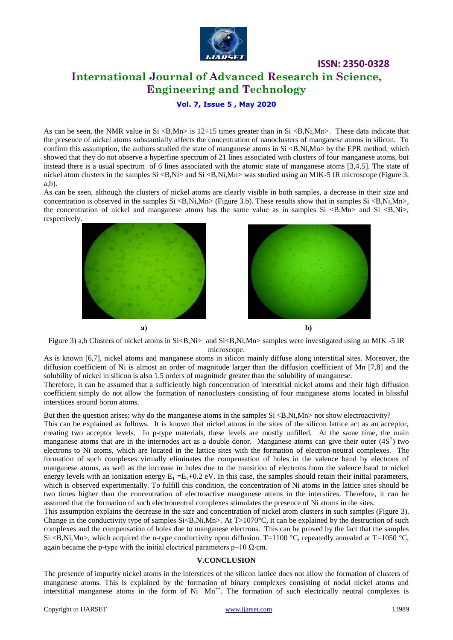

# **International Journal of Advanced Research in Science, Engineering and Technology**

**ISSN: 2350-0328**

**Vol. 7, Issue 5 , May 2020**

As can be seen, the NMR value in Si  $\langle B, Mn \rangle$  is 12÷15 times greater than in Si  $\langle B, Ni, Mn \rangle$ . These data indicate that the presence of nickel atoms substantially affects the concentration of nanoclusters of manganese atoms in silicon. To confirm this assumption, the authors studied the state of manganese atoms in  $Si < B$ , Ni, Mn $>$  by the EPR method, which showed that they do not observe a hyperfine spectrum of 21 lines associated with clusters of four manganese atoms, but instead there is a usual spectrum of 6 lines associated with the atomic state of manganese atoms [3,4,5]. The state of nickel atom clusters in the samples  $Si < B,Ni$  and  $Si < B,Ni$ ,  $Mn$  was studied using an MIK-5 IR microscope (Figure 3.  $a,b$ ).

As can be seen, although the clusters of nickel atoms are clearly visible in both samples, a decrease in their size and concentration is observed in the samples  $Si < B,Ni,Mn$  (Figure 3.b). These results show that in samples  $Si < B,Ni,Mn$ ), the concentration of nickel and manganese atoms has the same value as in samples  $Si < B,Mn$  and  $Si < B,Ni$ , respectively.



Figure 3) a,b Clusters of nickel atoms in Si<B,Ni> and Si<B,Ni,Mn> samples were investigated using an MIK -5 IR microscope.

As is known [6,7], nickel atoms and manganese atoms in silicon mainly diffuse along interstitial sites. Moreover, the diffusion coefficient of Ni is almost an order of magnitude larger than the diffusion coefficient of Mn [7,8] and the solubility of nickel in silicon is also 1.5 orders of magnitude greater than the solubility of manganese.

Therefore, it can be assumed that a sufficiently high concentration of interstitial nickel atoms and their high diffusion coefficient simply do not allow the formation of nanoclusters consisting of four manganese atoms located in blissful interstices around boron atoms.

But then the question arises: why do the manganese atoms in the samples  $Si < B,Ni,Mn$  not show electroactivity?

This can be explained as follows. It is known that nickel atoms in the sites of the silicon lattice act as an acceptor, creating two acceptor levels. In p-type materials, these levels are mostly unfilled. At the same time, the main manganese atoms that are in the internodes act as a double donor. Manganese atoms can give their outer  $(4S^2)$  two electrons to Ni atoms, which are located in the lattice sites with the formation of electron-neutral complexes. The formation of such complexes virtually eliminates the compensation of holes in the valence band by electrons of manganese atoms, as well as the increase in holes due to the transition of electrons from the valence band to nickel energy levels with an ionization energy  $E_1 = E_v + 0.2$  eV. In this case, the samples should retain their initial parameters, which is observed experimentally. To fulfill this condition, the concentration of Ni atoms in the lattice sites should be two times higher than the concentration of electroactive manganese atoms in the interstices. Therefore, it can be assumed that the formation of such electroneutral complexes stimulates the presence of Ni atoms in the sites.

This assumption explains the decrease in the size and concentration of nickel atom clusters in such samples (Figure 3). Change in the conductivity type of samples  $Si\leq B.Ni$ ,  $Mn$ , At T > 1070°C, it can be explained by the destruction of such complexes and the compensation of holes due to manganese electrons. This can be proved by the fact that the samples Si <B,Ni,Mn>, which acquired the n-type conductivity upon diffusion. T=1100  $^{\circ}$ C, repeatedly annealed at T=1050  $^{\circ}$ C, again became the p-type with the initial electrical parameters  $p\sim 10 \Omega$  cm.

#### **V.CONCLUSION**

The presence of impurity nickel atoms in the interstices of the silicon lattice does not allow the formation of clusters of manganese atoms. This is explained by the formation of binary complexes consisting of nodal nickel atoms and interstitial manganese atoms in the form of  $Ni^-$  Mn<sup>++</sup>. The formation of such electrically neutral complexes is